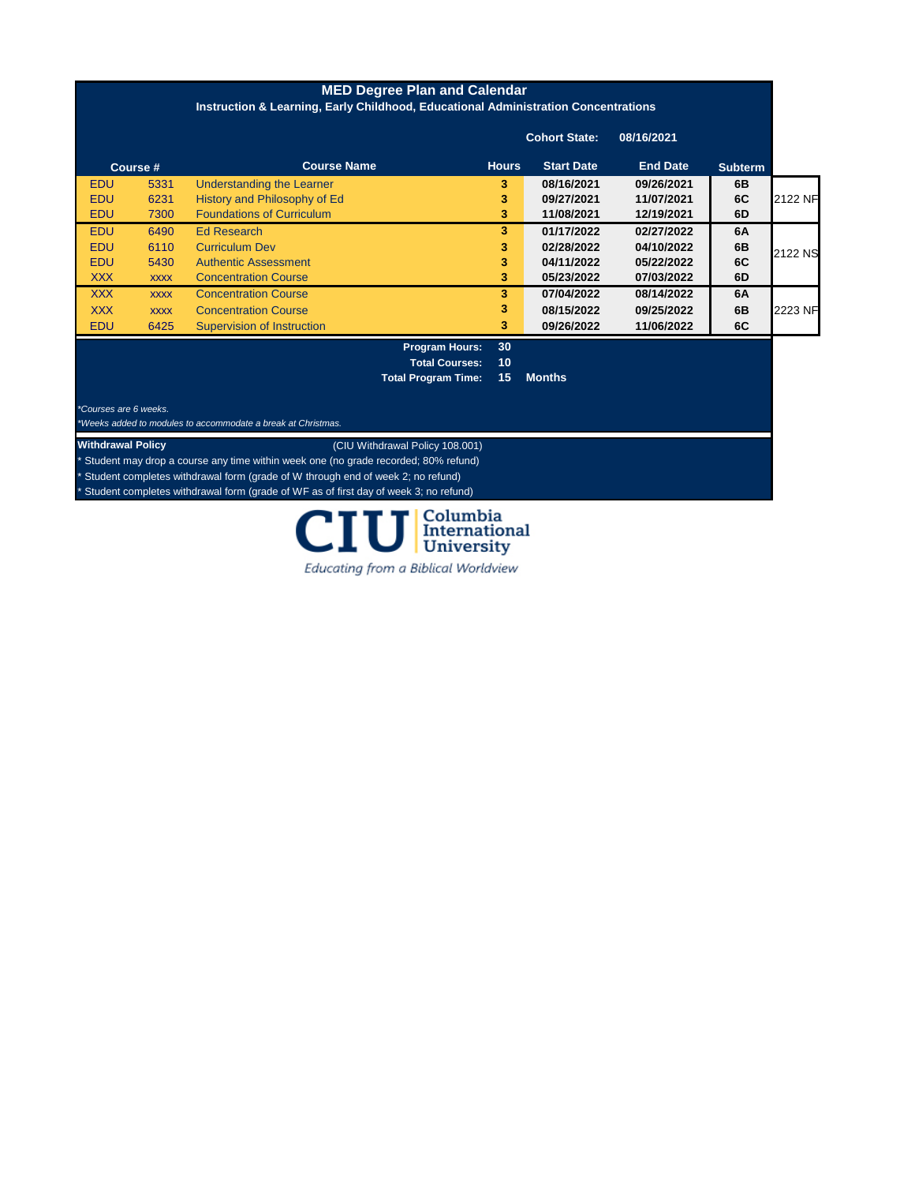| <b>MED Degree Plan and Calendar</b><br>Instruction & Learning, Early Childhood, Educational Administration Concentrations |             |                                   |                       |              |                      |                 |                |                |
|---------------------------------------------------------------------------------------------------------------------------|-------------|-----------------------------------|-----------------------|--------------|----------------------|-----------------|----------------|----------------|
|                                                                                                                           |             |                                   |                       |              | <b>Cohort State:</b> | 08/16/2021      |                |                |
|                                                                                                                           | Course #    | <b>Course Name</b>                |                       | <b>Hours</b> | <b>Start Date</b>    | <b>End Date</b> | <b>Subterm</b> |                |
| EDU                                                                                                                       | 5331        | <b>Understanding the Learner</b>  |                       | 3.           | 08/16/2021           | 09/26/2021      | 6B             |                |
| EDU                                                                                                                       | 6231        | History and Philosophy of Ed      |                       | 3            | 09/27/2021           | 11/07/2021      | 6C             | <b>2122 NF</b> |
| <b>EDU</b>                                                                                                                | 7300        | <b>Foundations of Curriculum</b>  |                       | 3            | 11/08/2021           | 12/19/2021      | 6D             |                |
| <b>EDU</b>                                                                                                                | 6490        | Ed Research                       |                       | 3            | 01/17/2022           | 02/27/2022      | 6A             |                |
| <b>EDU</b>                                                                                                                | 6110        | <b>Curriculum Dev</b>             |                       | 3            | 02/28/2022           | 04/10/2022      | 6B             |                |
| EDU                                                                                                                       | 5430        | <b>Authentic Assessment</b>       |                       | 3            | 04/11/2022           | 05/22/2022      | 6C             | 2122 NS        |
| <b>XXX</b>                                                                                                                | <b>XXXX</b> | <b>Concentration Course</b>       |                       | 3            | 05/23/2022           | 07/03/2022      | 6D             |                |
| <b>XXX</b>                                                                                                                | <b>XXXX</b> | <b>Concentration Course</b>       |                       | 3            | 07/04/2022           | 08/14/2022      | 6A             |                |
| <b>XXX</b>                                                                                                                | <b>XXXX</b> | <b>Concentration Course</b>       |                       | 3            | 08/15/2022           | 09/25/2022      | 6B             | 2223 NF        |
| <b>EDU</b>                                                                                                                | 6425        | <b>Supervision of Instruction</b> |                       | 3            | 09/26/2022           | 11/06/2022      | 6C             |                |
|                                                                                                                           |             |                                   | <b>Program Hours:</b> | 30           |                      |                 |                |                |
|                                                                                                                           |             |                                   | <b>Total Courses:</b> | 10           |                      |                 |                |                |

**Total Program Time: 15 Months**

*\*Courses are 6 weeks.* 

*\*Weeks added to modules to accommodate a break at Christmas.*

**Withdrawal Policy** (CIU Withdrawal Policy 108.001)

\* Student may drop a course any time within week one (no grade recorded; 80% refund)

Student completes withdrawal form (grade of W through end of week 2; no refund)

\* Student completes withdrawal form (grade of WF as of first day of week 3; no refund)



Educating from a Biblical Worldview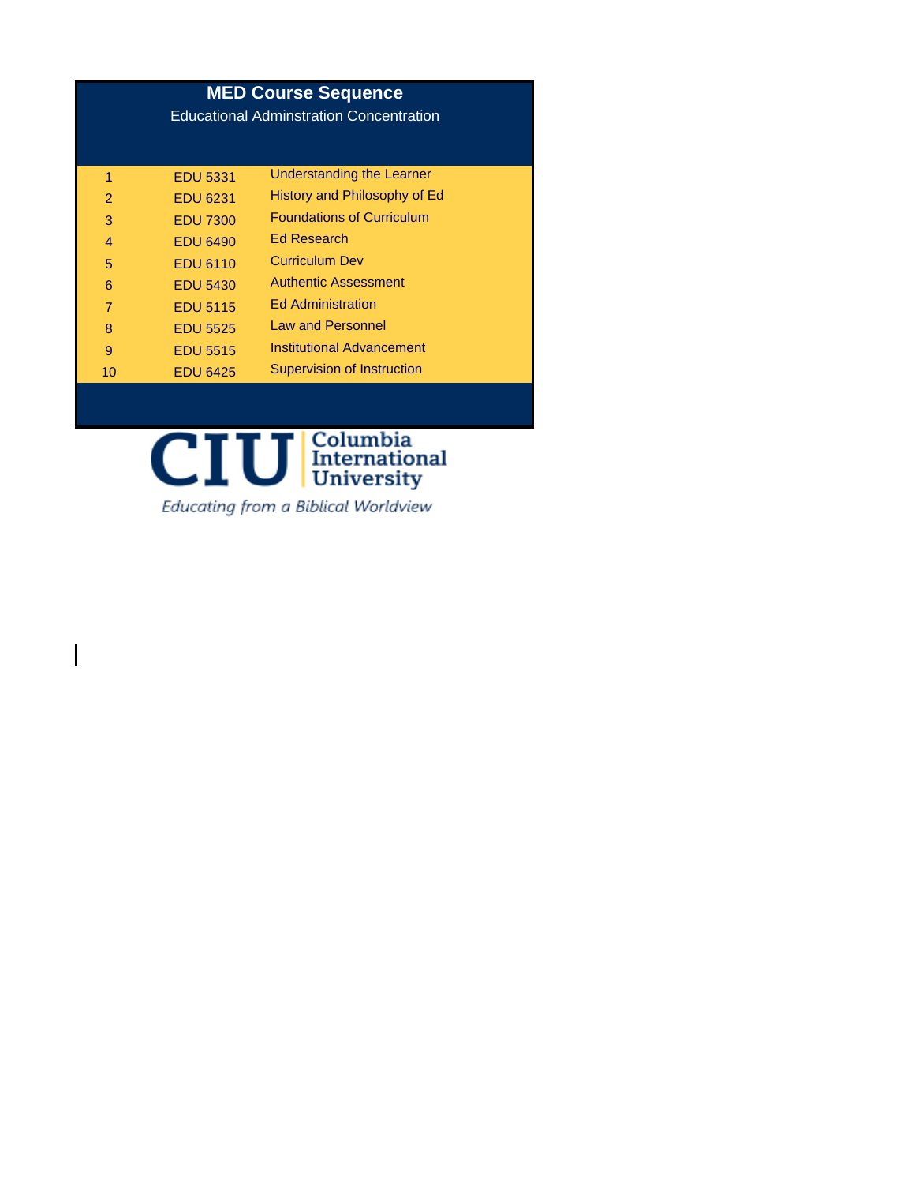## **MED Course Sequence**

Educational Adminstration Concentration

| 1              | <b>EDU 5331</b> | Understanding the Learner         |
|----------------|-----------------|-----------------------------------|
| $\overline{2}$ | <b>EDU 6231</b> | History and Philosophy of Ed      |
| 3              | <b>EDU 7300</b> | <b>Foundations of Curriculum</b>  |
| 4              | <b>EDU 6490</b> | <b>Ed Research</b>                |
| 5              | <b>EDU 6110</b> | <b>Curriculum Dev</b>             |
| 6              | <b>EDU 5430</b> | <b>Authentic Assessment</b>       |
| $\overline{7}$ | <b>EDU 5115</b> | <b>Ed Administration</b>          |
| 8              | <b>EDU 5525</b> | Law and Personnel                 |
| 9              | <b>EDU 5515</b> | <b>Institutional Advancement</b>  |
| 10             | <b>EDU 6425</b> | <b>Supervision of Instruction</b> |



Educating from a Biblical Worldview

 $\mathbf l$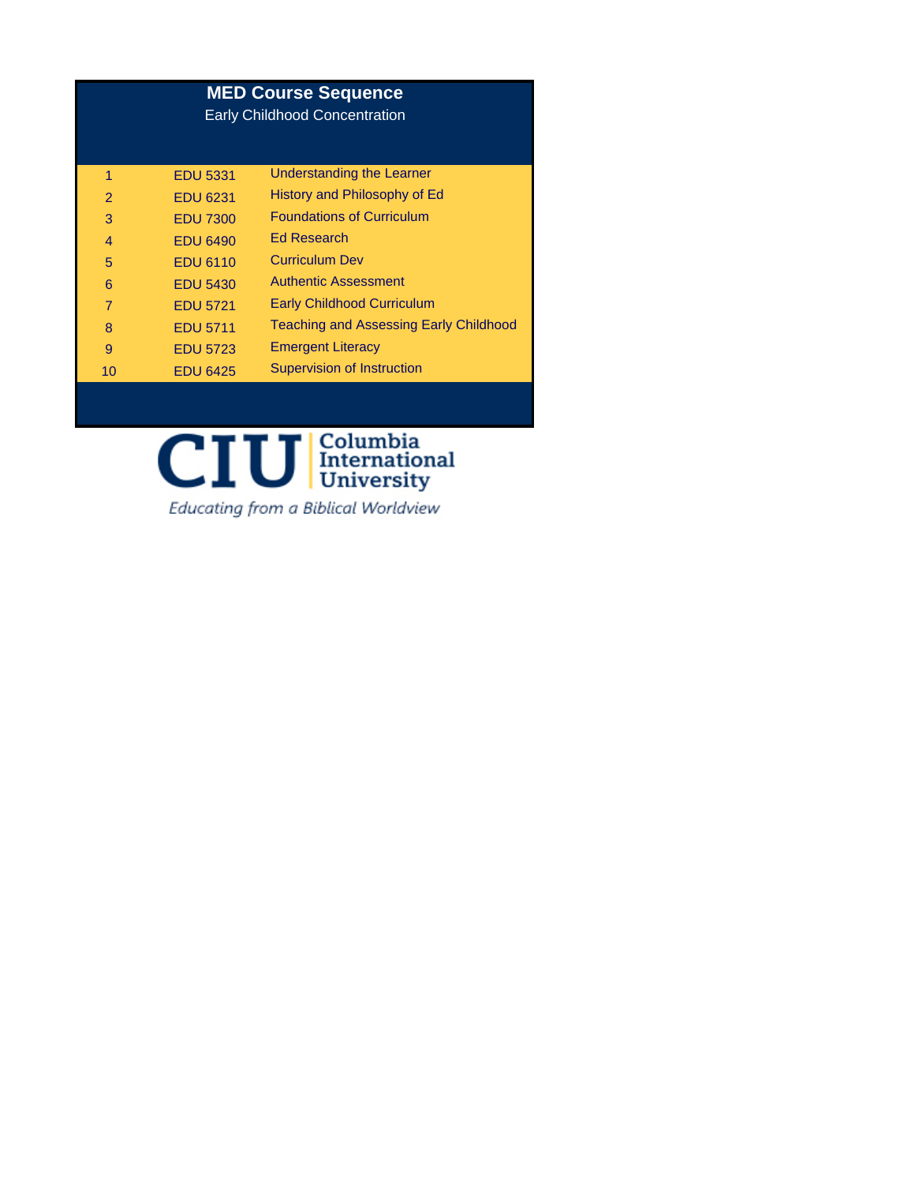| <b>MED Course Sequence</b><br><b>Early Childhood Concentration</b> |                 |                                               |  |  |
|--------------------------------------------------------------------|-----------------|-----------------------------------------------|--|--|
| 1                                                                  | <b>EDU 5331</b> | Understanding the Learner                     |  |  |
| $\mathcal{P}$                                                      | <b>EDU 6231</b> | History and Philosophy of Ed                  |  |  |
| 3                                                                  | <b>EDU 7300</b> | <b>Foundations of Curriculum</b>              |  |  |
| $\overline{4}$                                                     | <b>EDU 6490</b> | <b>Ed Research</b>                            |  |  |
| 5                                                                  | <b>EDU 6110</b> | <b>Curriculum Dev</b>                         |  |  |
| 6                                                                  | <b>EDU 5430</b> | <b>Authentic Assessment</b>                   |  |  |
| 7                                                                  | <b>EDU 5721</b> | <b>Early Childhood Curriculum</b>             |  |  |
| 8                                                                  | <b>EDU 5711</b> | <b>Teaching and Assessing Early Childhood</b> |  |  |
| 9                                                                  | <b>EDU 5723</b> | <b>Emergent Literacy</b>                      |  |  |
| 10                                                                 | <b>EDU 6425</b> | <b>Supervision of Instruction</b>             |  |  |
|                                                                    |                 |                                               |  |  |



Educating from a Biblical Worldview